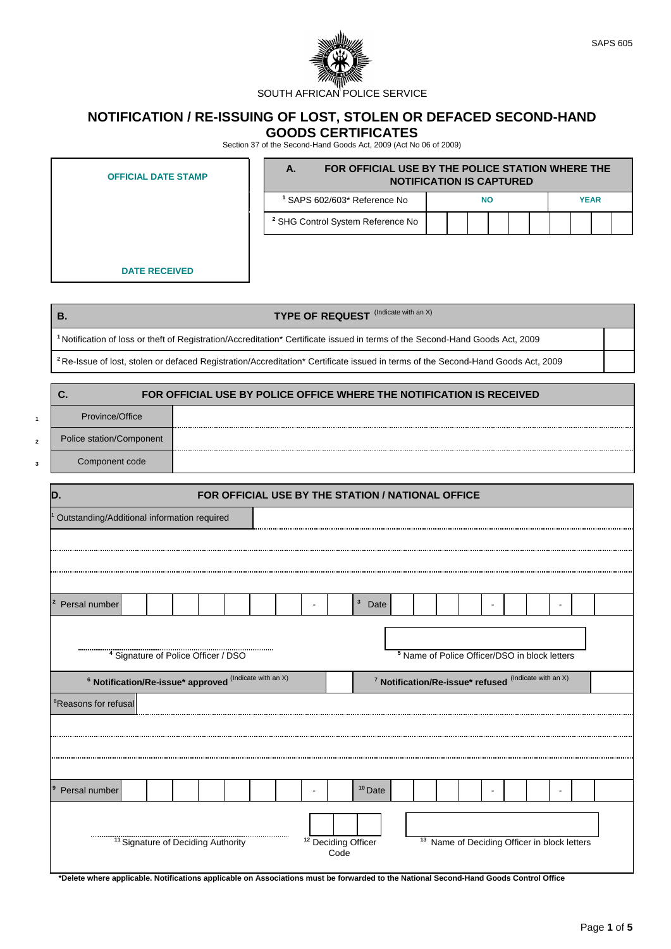

## **NOTIFICATION / RE-ISSUING OF LOST, STOLEN OR DEFACED SECOND-HAND GOODS CERTIFICATES**

Section 37 of the Second-Hand Goods Act, 2009 (Act No 06 of 2009)

| <b>OFFICIAL DATE STAMP</b> | А.                                           | FOR OFFICIAL USE BY THE POLICE STATION WHERE THE<br><b>NOTIFICATION IS CAPTURED</b> |  |           |  |  |  |  |  |             |  |  |
|----------------------------|----------------------------------------------|-------------------------------------------------------------------------------------|--|-----------|--|--|--|--|--|-------------|--|--|
|                            | <sup>1</sup> SAPS 602/603* Reference No      |                                                                                     |  | <b>NO</b> |  |  |  |  |  | <b>YEAR</b> |  |  |
|                            | <sup>2</sup> SHG Control System Reference No |                                                                                     |  |           |  |  |  |  |  |             |  |  |
|                            |                                              |                                                                                     |  |           |  |  |  |  |  |             |  |  |

**DATE RECEIVED**

| <b>TYPE OF REQUEST</b> (Indicate with an X)<br>В.                                                                                           |  |
|---------------------------------------------------------------------------------------------------------------------------------------------|--|
| <sup>1</sup> Notification of loss or theft of Registration/Accreditation* Certificate issued in terms of the Second-Hand Goods Act, 2009    |  |
| <sup>2</sup> Re-Issue of lost, stolen or defaced Registration/Accreditation* Certificate issued in terms of the Second-Hand Goods Act, 2009 |  |
|                                                                                                                                             |  |

| U.                       | FOR OFFICIAL USE BY POLICE OFFICE WHERE THE NOTIFICATION IS RECEIVED |
|--------------------------|----------------------------------------------------------------------|
| Province/Office          |                                                                      |
| Police station/Component |                                                                      |
| Component code           |                                                                      |

| D.                                          |                                                                   |  |  |  | FOR OFFICIAL USE BY THE STATION / NATIONAL OFFICE |  |  |  |                                        |              |  |  |  |                                                                  |                                                          |  |
|---------------------------------------------|-------------------------------------------------------------------|--|--|--|---------------------------------------------------|--|--|--|----------------------------------------|--------------|--|--|--|------------------------------------------------------------------|----------------------------------------------------------|--|
| Outstanding/Additional information required |                                                                   |  |  |  |                                                   |  |  |  |                                        |              |  |  |  |                                                                  |                                                          |  |
|                                             |                                                                   |  |  |  |                                                   |  |  |  |                                        |              |  |  |  |                                                                  |                                                          |  |
|                                             |                                                                   |  |  |  |                                                   |  |  |  |                                        |              |  |  |  |                                                                  |                                                          |  |
|                                             |                                                                   |  |  |  |                                                   |  |  |  |                                        |              |  |  |  |                                                                  |                                                          |  |
|                                             |                                                                   |  |  |  |                                                   |  |  |  |                                        | $\mathbf{3}$ |  |  |  |                                                                  |                                                          |  |
| $\overline{2}$<br>Persal number             |                                                                   |  |  |  |                                                   |  |  |  |                                        | Date         |  |  |  |                                                                  |                                                          |  |
|                                             |                                                                   |  |  |  |                                                   |  |  |  |                                        |              |  |  |  |                                                                  |                                                          |  |
|                                             | <sup>4</sup> Signature of Police Officer / DSO                    |  |  |  |                                                   |  |  |  |                                        |              |  |  |  |                                                                  | <sup>5</sup> Name of Police Officer/DSO in block letters |  |
|                                             |                                                                   |  |  |  |                                                   |  |  |  |                                        |              |  |  |  |                                                                  |                                                          |  |
|                                             | <sup>6</sup> Notification/Re-issue* approved (Indicate with an X) |  |  |  |                                                   |  |  |  |                                        |              |  |  |  | <sup>7</sup> Notification/Re-issue* refused (Indicate with an X) |                                                          |  |
| <sup>8</sup> Reasons for refusal            |                                                                   |  |  |  |                                                   |  |  |  |                                        |              |  |  |  |                                                                  |                                                          |  |
|                                             |                                                                   |  |  |  |                                                   |  |  |  |                                        |              |  |  |  |                                                                  |                                                          |  |
|                                             |                                                                   |  |  |  |                                                   |  |  |  |                                        |              |  |  |  |                                                                  |                                                          |  |
|                                             |                                                                   |  |  |  |                                                   |  |  |  |                                        |              |  |  |  |                                                                  |                                                          |  |
|                                             |                                                                   |  |  |  |                                                   |  |  |  |                                        |              |  |  |  |                                                                  |                                                          |  |
| $\vert$ 9<br>Persal number                  |                                                                   |  |  |  |                                                   |  |  |  |                                        | $10$ Date    |  |  |  |                                                                  |                                                          |  |
|                                             |                                                                   |  |  |  |                                                   |  |  |  |                                        |              |  |  |  |                                                                  |                                                          |  |
|                                             |                                                                   |  |  |  |                                                   |  |  |  |                                        |              |  |  |  |                                                                  |                                                          |  |
|                                             | <sup>11</sup> Signature of Deciding Authority                     |  |  |  |                                                   |  |  |  | <sup>12</sup> Deciding Officer<br>Code |              |  |  |  |                                                                  | <sup>13</sup> Name of Deciding Officer in block letters  |  |
|                                             |                                                                   |  |  |  |                                                   |  |  |  |                                        |              |  |  |  |                                                                  |                                                          |  |

**\*Delete where applicable. Notifications applicable on Associations must be forwarded to the National Second-Hand Goods Control Office**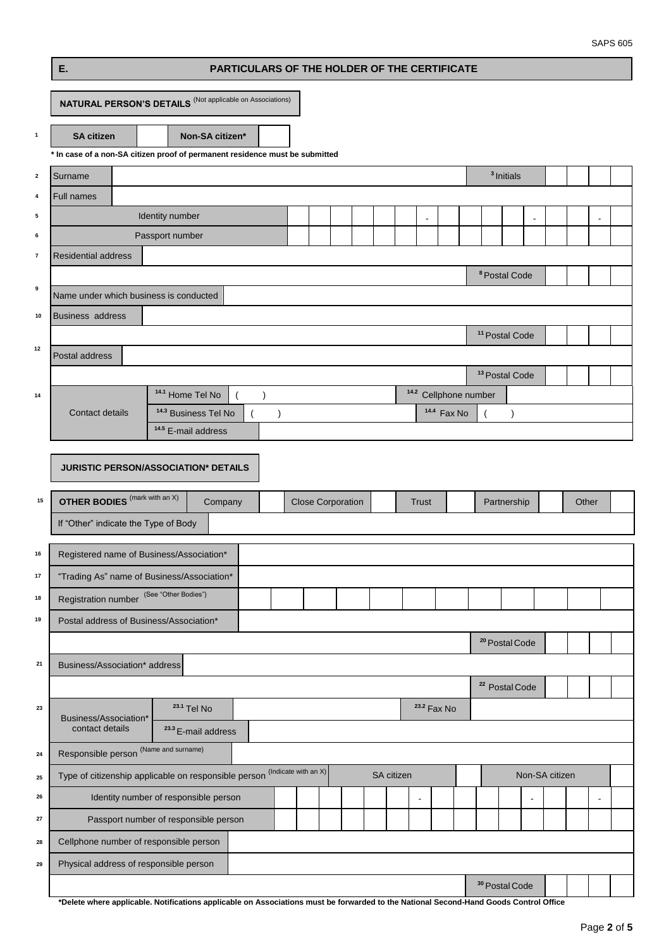## **E. PARTICULARS OF THE HOLDER OF THE CERTIFICATE**

|                  | <b>NATURAL PERSON'S DETAILS</b> (Not applicable on Associations)             |                                       |                |                      |                          |            |                          |                                  |                           |                           |                |       |          |  |
|------------------|------------------------------------------------------------------------------|---------------------------------------|----------------|----------------------|--------------------------|------------|--------------------------|----------------------------------|---------------------------|---------------------------|----------------|-------|----------|--|
| $\mathbf{1}$     | <b>SA citizen</b>                                                            | Non-SA citizen*                       |                |                      |                          |            |                          |                                  |                           |                           |                |       |          |  |
|                  | * In case of a non-SA citizen proof of permanent residence must be submitted |                                       |                |                      |                          |            |                          |                                  |                           |                           |                |       |          |  |
| $\mathbf{2}$     | Surname                                                                      |                                       |                |                      |                          |            |                          |                                  |                           | <sup>3</sup> Initials     |                |       |          |  |
| 4                | Full names                                                                   |                                       |                |                      |                          |            |                          |                                  |                           |                           |                |       |          |  |
| 5                |                                                                              | Identity number                       |                |                      |                          |            | $\overline{\phantom{a}}$ |                                  |                           |                           |                |       |          |  |
| 6                |                                                                              | Passport number                       |                |                      |                          |            |                          |                                  |                           |                           |                |       |          |  |
| $\boldsymbol{7}$ | <b>Residential address</b>                                                   |                                       |                |                      |                          |            |                          |                                  |                           |                           |                |       |          |  |
|                  |                                                                              |                                       |                |                      |                          |            |                          |                                  | <sup>8</sup> Postal Code  |                           |                |       |          |  |
| 9                | Name under which business is conducted                                       |                                       |                |                      |                          |            |                          |                                  |                           |                           |                |       |          |  |
| 10               | <b>Business address</b>                                                      |                                       |                |                      |                          |            |                          |                                  |                           |                           |                |       |          |  |
| 12               |                                                                              |                                       |                |                      |                          |            |                          |                                  | <sup>11</sup> Postal Code |                           |                |       |          |  |
|                  | Postal address                                                               |                                       |                |                      |                          |            |                          |                                  |                           |                           |                |       |          |  |
|                  |                                                                              |                                       |                |                      |                          |            |                          |                                  | <sup>13</sup> Postal Code |                           |                |       |          |  |
| 14               |                                                                              | 14.1 Home Tel No                      | $\lambda$      |                      |                          |            |                          | <sup>14.2</sup> Cellphone number |                           |                           |                |       |          |  |
|                  | Contact details                                                              | <sup>14.3</sup> Business Tel No       | $\overline{ }$ | $\mathcal{E}$        |                          |            |                          | <sup>14.4</sup> Fax No           |                           | $\lambda$                 |                |       |          |  |
|                  |                                                                              | <sup>14.5</sup> E-mail address        |                |                      |                          |            |                          |                                  |                           |                           |                |       |          |  |
|                  | JURISTIC PERSON/ASSOCIATION* DETAILS                                         |                                       |                |                      |                          |            |                          |                                  |                           |                           |                |       |          |  |
|                  |                                                                              |                                       |                |                      |                          |            |                          |                                  |                           |                           |                |       |          |  |
| 15               | <b>OTHER BODIES</b> (mark with an X)                                         | Company                               |                |                      | <b>Close Corporation</b> |            | <b>Trust</b>             |                                  |                           | Partnership               |                | Other |          |  |
|                  | If "Other" indicate the Type of Body                                         |                                       |                |                      |                          |            |                          |                                  |                           |                           |                |       |          |  |
|                  |                                                                              |                                       |                |                      |                          |            |                          |                                  |                           |                           |                |       |          |  |
| 16               | Registered name of Business/Association*                                     |                                       |                |                      |                          |            |                          |                                  |                           |                           |                |       |          |  |
| 17               | "Trading As" name of Business/Association*                                   |                                       |                |                      |                          |            |                          |                                  |                           |                           |                |       |          |  |
| 18               | Registration number (See "Other Bodies")                                     |                                       |                |                      |                          |            |                          |                                  |                           |                           |                |       |          |  |
| 19               | Postal address of Business/Association*                                      |                                       |                |                      |                          |            |                          |                                  |                           |                           |                |       |          |  |
|                  |                                                                              |                                       |                |                      |                          |            |                          |                                  |                           | <sup>20</sup> Postal Code |                |       |          |  |
| 21               | Business/Association* address                                                |                                       |                |                      |                          |            |                          |                                  |                           |                           |                |       |          |  |
|                  |                                                                              |                                       |                |                      |                          |            |                          |                                  | <sup>22</sup> Postal Code |                           |                |       |          |  |
| 23               |                                                                              | <sup>23.1</sup> Tel No                |                |                      |                          |            | <sup>23.2</sup> Fax No   |                                  |                           |                           |                |       |          |  |
|                  | Business/Association*<br>contact details                                     | <sup>23.3</sup> E-mail address        |                |                      |                          |            |                          |                                  |                           |                           |                |       |          |  |
| 24               | Responsible person <sup>(Name and surname)</sup>                             |                                       |                |                      |                          |            |                          |                                  |                           |                           |                |       |          |  |
| 25               | Type of citizenship applicable on responsible person                         |                                       |                | (Indicate with an X) |                          | SA citizen |                          |                                  |                           |                           | Non-SA citizen |       |          |  |
| 26               |                                                                              | Identity number of responsible person |                |                      |                          |            | $\blacksquare$           |                                  |                           |                           | $\blacksquare$ |       | $\omega$ |  |
| 27               |                                                                              | Passport number of responsible person |                |                      |                          |            |                          |                                  |                           |                           |                |       |          |  |
| 28               | Cellphone number of responsible person                                       |                                       |                |                      |                          |            |                          |                                  |                           |                           |                |       |          |  |
|                  |                                                                              |                                       |                |                      |                          |            |                          |                                  |                           |                           |                |       |          |  |
| 29               | Physical address of responsible person                                       |                                       |                |                      |                          |            |                          |                                  |                           |                           |                |       |          |  |
|                  |                                                                              |                                       |                |                      |                          |            |                          |                                  | <sup>30</sup> Postal Code |                           |                |       |          |  |

**\*Delete where applicable. Notifications applicable on Associations must be forwarded to the National Second-Hand Goods Control Office**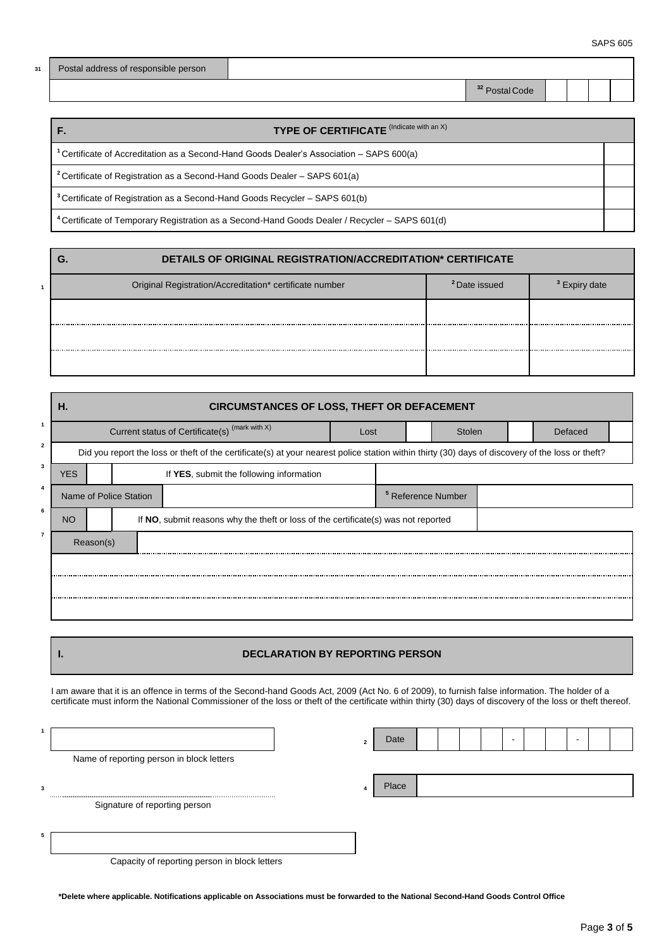| 31 Postal address of responsible person |
|-----------------------------------------|
|                                         |

**<sup>32</sup>** Postal Code

| TYPE OF CERTIFICATE (Indicate with an X)                                                                  |  |
|-----------------------------------------------------------------------------------------------------------|--|
| <sup>1</sup> Certificate of Accreditation as a Second-Hand Goods Dealer's Association – SAPS 600(a)       |  |
| <sup>2</sup> Certificate of Registration as a Second-Hand Goods Dealer – SAPS 601(a)                      |  |
| <sup>3</sup> Certificate of Registration as a Second-Hand Goods Recycler – SAPS 601(b)                    |  |
| <sup>4</sup> Certificate of Temporary Registration as a Second-Hand Goods Dealer / Recycler – SAPS 601(d) |  |

| DETAILS OF ORIGINAL REGISTRATION/ACCREDITATION* CERTIFICATE |                          |  |  |  |  |  |  |  |  |  |  |
|-------------------------------------------------------------|--------------------------|--|--|--|--|--|--|--|--|--|--|
| Original Registration/Accreditation* certificate number     | <sup>2</sup> Date issued |  |  |  |  |  |  |  |  |  |  |
|                                                             |                          |  |  |  |  |  |  |  |  |  |  |
|                                                             |                          |  |  |  |  |  |  |  |  |  |  |
|                                                             |                          |  |  |  |  |  |  |  |  |  |  |

|   | <b>CIRCUMSTANCES OF LOSS, THEFT OR DEFACEMENT</b><br>Н.                                                                                          |                        |  |                                                                                    |      |                               |  |  |         |  |  |  |  |  |
|---|--------------------------------------------------------------------------------------------------------------------------------------------------|------------------------|--|------------------------------------------------------------------------------------|------|-------------------------------|--|--|---------|--|--|--|--|--|
|   |                                                                                                                                                  |                        |  | Current status of Certificate(s) <sup>(mark with X)</sup>                          | Lost | Stolen                        |  |  | Defaced |  |  |  |  |  |
|   | Did you report the loss or theft of the certificate(s) at your nearest police station within thirty (30) days of discovery of the loss or theft? |                        |  |                                                                                    |      |                               |  |  |         |  |  |  |  |  |
| 3 | <b>YES</b>                                                                                                                                       |                        |  | If YES, submit the following information                                           |      |                               |  |  |         |  |  |  |  |  |
|   |                                                                                                                                                  | Name of Police Station |  |                                                                                    |      | <sup>5</sup> Reference Number |  |  |         |  |  |  |  |  |
| 6 | <b>NO</b>                                                                                                                                        |                        |  | If NO, submit reasons why the theft or loss of the certificate(s) was not reported |      |                               |  |  |         |  |  |  |  |  |
|   |                                                                                                                                                  | Reason(s)              |  |                                                                                    |      |                               |  |  |         |  |  |  |  |  |
|   |                                                                                                                                                  |                        |  |                                                                                    |      |                               |  |  |         |  |  |  |  |  |
|   |                                                                                                                                                  |                        |  |                                                                                    |      |                               |  |  |         |  |  |  |  |  |
|   |                                                                                                                                                  |                        |  |                                                                                    |      |                               |  |  |         |  |  |  |  |  |

## **I. DECLARATION BY REPORTING PERSON**

I am aware that it is an offence in terms of the Second-hand Goods Act, 2009 (Act No. 6 of 2009), to furnish false information. The holder of a certificate must inform the National Commissioner of the loss or theft of the certificate within thirty (30) days of discovery of the loss or theft thereof.

|   |                                               | $\overline{2}$ | Date  |  |  | - |  | ۰ |  |
|---|-----------------------------------------------|----------------|-------|--|--|---|--|---|--|
|   | Name of reporting person in block letters     |                |       |  |  |   |  |   |  |
| 3 |                                               |                | Place |  |  |   |  |   |  |
|   | Signature of reporting person                 |                |       |  |  |   |  |   |  |
|   |                                               |                |       |  |  |   |  |   |  |
|   | Capacity of reporting person in block letters |                |       |  |  |   |  |   |  |

**\*Delete where applicable. Notifications applicable on Associations must be forwarded to the National Second-Hand Goods Control Office**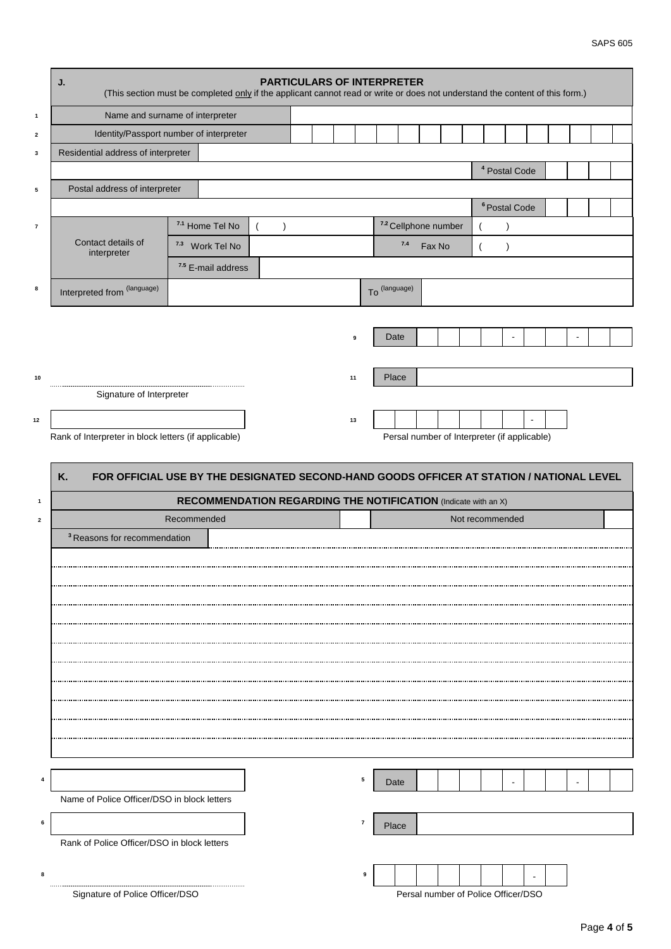|                         | <b>PARTICULARS OF INTERPRETER</b><br>J.<br>(This section must be completed only if the applicant cannot read or write or does not understand the content of this form.) |             |                                                                       |                       |  |  |    |               |           |                                              |                |                 |                          |  |  |  |
|-------------------------|-------------------------------------------------------------------------------------------------------------------------------------------------------------------------|-------------|-----------------------------------------------------------------------|-----------------------|--|--|----|---------------|-----------|----------------------------------------------|----------------|-----------------|--------------------------|--|--|--|
| $\mathbf{1}$            | Name and surname of interpreter                                                                                                                                         |             |                                                                       |                       |  |  |    |               |           |                                              |                |                 |                          |  |  |  |
| $\overline{\mathbf{2}}$ | Identity/Passport number of interpreter                                                                                                                                 |             |                                                                       |                       |  |  |    |               |           |                                              |                |                 |                          |  |  |  |
| 3                       | Residential address of interpreter                                                                                                                                      |             |                                                                       |                       |  |  |    |               |           |                                              |                |                 |                          |  |  |  |
|                         |                                                                                                                                                                         |             |                                                                       |                       |  |  |    |               |           |                                              |                |                 | <sup>4</sup> Postal Code |  |  |  |
| 5                       | Postal address of interpreter                                                                                                                                           |             |                                                                       |                       |  |  |    |               |           |                                              |                |                 |                          |  |  |  |
|                         |                                                                                                                                                                         |             |                                                                       |                       |  |  |    |               |           |                                              |                |                 | <sup>6</sup> Postal Code |  |  |  |
| $\pmb{7}$               | Contact details of                                                                                                                                                      |             | 7.1 Home Tel No                                                       | $\left($<br>$\lambda$ |  |  |    |               |           | 7.2 Cellphone number                         |                |                 |                          |  |  |  |
|                         | interpreter                                                                                                                                                             |             | <sup>7.3</sup> Work Tel No                                            |                       |  |  |    |               | $\bf 7.4$ | Fax No                                       | $\overline{ }$ |                 | $\lambda$                |  |  |  |
|                         |                                                                                                                                                                         |             | 7.5 E-mail address                                                    |                       |  |  |    |               |           |                                              |                |                 |                          |  |  |  |
| 8                       | Interpreted from (language)                                                                                                                                             |             |                                                                       |                       |  |  |    | To (language) |           |                                              |                |                 |                          |  |  |  |
|                         |                                                                                                                                                                         |             |                                                                       |                       |  |  |    |               |           |                                              |                |                 |                          |  |  |  |
|                         |                                                                                                                                                                         |             |                                                                       |                       |  |  | 9  |               | Date      |                                              |                |                 |                          |  |  |  |
|                         |                                                                                                                                                                         |             |                                                                       |                       |  |  |    |               |           |                                              |                |                 |                          |  |  |  |
| 10                      |                                                                                                                                                                         |             |                                                                       |                       |  |  | 11 |               | Place     |                                              |                |                 |                          |  |  |  |
|                         | Signature of Interpreter                                                                                                                                                |             |                                                                       |                       |  |  |    |               |           |                                              |                |                 |                          |  |  |  |
| $12\,$                  |                                                                                                                                                                         |             |                                                                       |                       |  |  | 13 |               |           |                                              |                |                 |                          |  |  |  |
|                         | Rank of Interpreter in block letters (if applicable)                                                                                                                    |             |                                                                       |                       |  |  |    |               |           | Persal number of Interpreter (if applicable) |                |                 |                          |  |  |  |
|                         |                                                                                                                                                                         |             |                                                                       |                       |  |  |    |               |           |                                              |                |                 |                          |  |  |  |
|                         | FOR OFFICIAL USE BY THE DESIGNATED SECOND-HAND GOODS OFFICER AT STATION / NATIONAL LEVEL<br>Κ.                                                                          |             |                                                                       |                       |  |  |    |               |           |                                              |                |                 |                          |  |  |  |
|                         |                                                                                                                                                                         |             |                                                                       |                       |  |  |    |               |           |                                              |                |                 |                          |  |  |  |
|                         |                                                                                                                                                                         |             |                                                                       |                       |  |  |    |               |           |                                              |                |                 |                          |  |  |  |
| $\mathbf{1}$            |                                                                                                                                                                         |             | <b>RECOMMENDATION REGARDING THE NOTIFICATION</b> (Indicate with an X) |                       |  |  |    |               |           |                                              |                |                 |                          |  |  |  |
| $\overline{\mathbf{2}}$ |                                                                                                                                                                         | Recommended |                                                                       |                       |  |  |    |               |           |                                              |                | Not recommended |                          |  |  |  |
|                         | <sup>3</sup> Reasons for recommendation                                                                                                                                 |             |                                                                       |                       |  |  |    |               |           |                                              |                |                 |                          |  |  |  |
|                         |                                                                                                                                                                         |             |                                                                       |                       |  |  |    |               |           |                                              |                |                 |                          |  |  |  |
|                         |                                                                                                                                                                         |             |                                                                       |                       |  |  |    |               |           |                                              |                |                 |                          |  |  |  |
|                         |                                                                                                                                                                         |             |                                                                       |                       |  |  |    |               |           |                                              |                |                 |                          |  |  |  |
|                         |                                                                                                                                                                         |             |                                                                       |                       |  |  |    |               |           |                                              |                |                 |                          |  |  |  |
|                         |                                                                                                                                                                         |             |                                                                       |                       |  |  |    |               |           |                                              |                |                 |                          |  |  |  |
|                         |                                                                                                                                                                         |             |                                                                       |                       |  |  |    |               |           |                                              |                |                 |                          |  |  |  |
|                         |                                                                                                                                                                         |             |                                                                       |                       |  |  |    |               |           |                                              |                |                 |                          |  |  |  |
|                         |                                                                                                                                                                         |             |                                                                       |                       |  |  |    |               |           |                                              |                |                 |                          |  |  |  |
|                         |                                                                                                                                                                         |             |                                                                       |                       |  |  |    |               |           |                                              |                |                 |                          |  |  |  |
|                         |                                                                                                                                                                         |             |                                                                       |                       |  |  |    |               |           |                                              |                |                 |                          |  |  |  |
|                         |                                                                                                                                                                         |             |                                                                       |                       |  |  |    |               |           |                                              |                |                 |                          |  |  |  |
|                         |                                                                                                                                                                         |             |                                                                       |                       |  |  | 5  |               | Date      |                                              |                |                 |                          |  |  |  |
|                         | Name of Police Officer/DSO in block letters                                                                                                                             |             |                                                                       |                       |  |  |    |               |           |                                              |                |                 |                          |  |  |  |
| 6                       |                                                                                                                                                                         |             |                                                                       |                       |  |  | 7  |               | Place     |                                              |                |                 |                          |  |  |  |
|                         | Rank of Police Officer/DSO in block letters                                                                                                                             |             |                                                                       |                       |  |  |    |               |           |                                              |                |                 |                          |  |  |  |
| 8                       |                                                                                                                                                                         |             |                                                                       |                       |  |  |    | 9             |           |                                              |                |                 |                          |  |  |  |